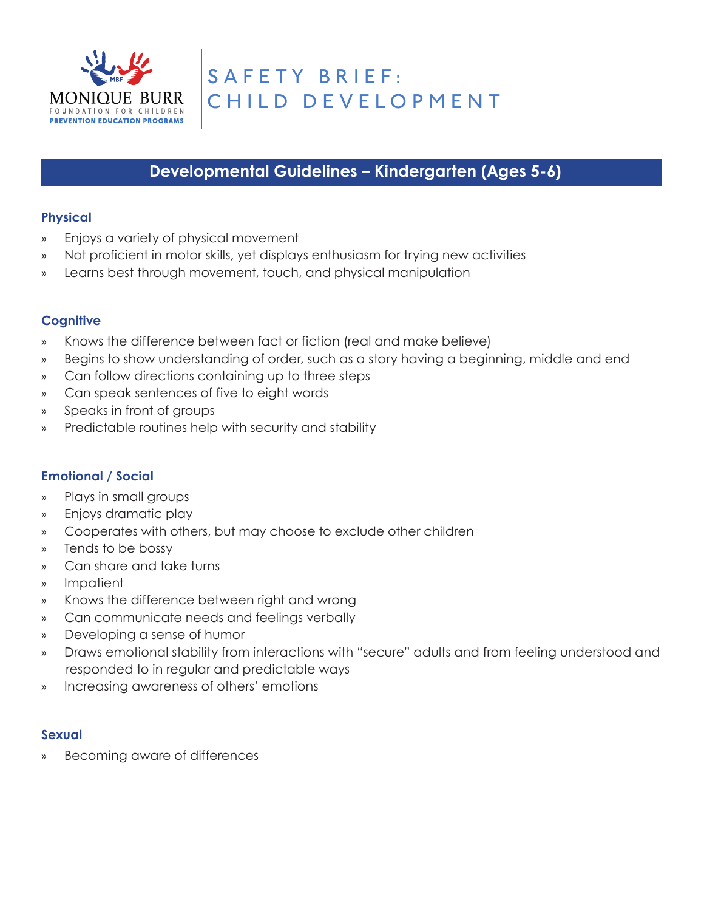

# **Developmental Guidelines – Kindergarten (Ages 5-6)**

### **Physical**

- » Enjoys a variety of physical movement
- » Not proficient in motor skills, yet displays enthusiasm for trying new activities
- » Learns best through movement, touch, and physical manipulation

## **Cognitive**

- » Knows the difference between fact or fiction (real and make believe)
- » Begins to show understanding of order, such as a story having a beginning, middle and end
- » Can follow directions containing up to three steps
- » Can speak sentences of five to eight words
- » Speaks in front of groups
- » Predictable routines help with security and stability

# **Emotional / Social**

- » Plays in small groups
- » Enjoys dramatic play
- » Cooperates with others, but may choose to exclude other children
- » Tends to be bossy
- » Can share and take turns
- » Impatient
- » Knows the difference between right and wrong
- » Can communicate needs and feelings verbally
- » Developing a sense of humor
- » Draws emotional stability from interactions with "secure" adults and from feeling understood and responded to in regular and predictable ways
- » Increasing awareness of others' emotions

#### **Sexual**

Becoming aware of differences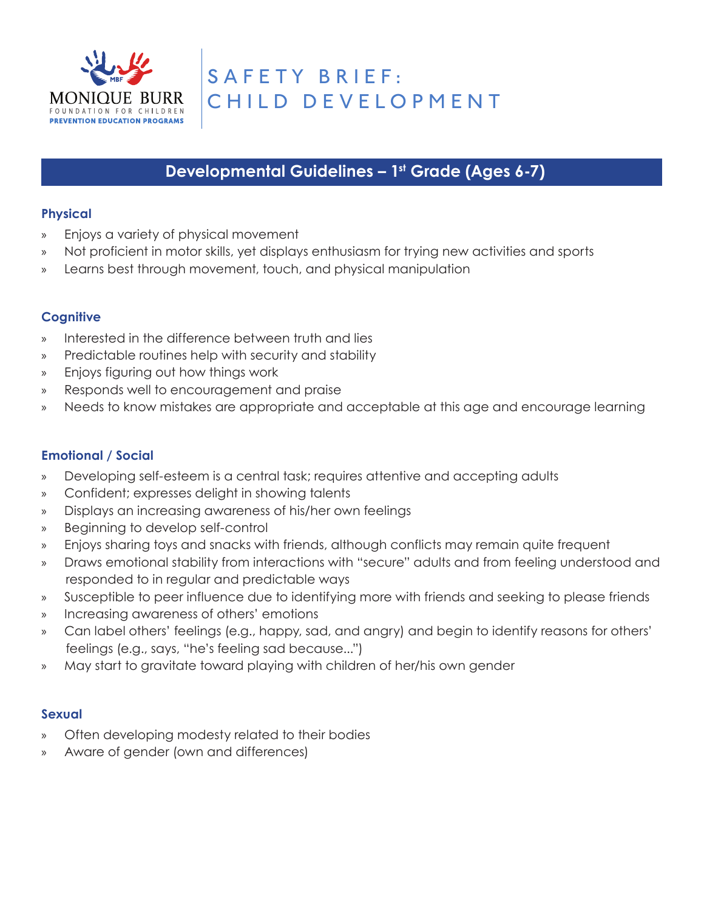

# **Developmental Guidelines – 1st Grade (Ages 6-7)**

## **Physical**

- » Enjoys a variety of physical movement
- » Not proficient in motor skills, yet displays enthusiasm for trying new activities and sports
- » Learns best through movement, touch, and physical manipulation

## **Cognitive**

- » Interested in the difference between truth and lies
- » Predictable routines help with security and stability
- » Enjoys figuring out how things work
- » Responds well to encouragement and praise
- » Needs to know mistakes are appropriate and acceptable at this age and encourage learning

# **Emotional / Social**

- » Developing self-esteem is a central task; requires attentive and accepting adults
- » Confident; expresses delight in showing talents
- » Displays an increasing awareness of his/her own feelings
- » Beginning to develop self-control
- » Enjoys sharing toys and snacks with friends, although conflicts may remain quite frequent
- » Draws emotional stability from interactions with "secure" adults and from feeling understood and responded to in regular and predictable ways
- » Susceptible to peer influence due to identifying more with friends and seeking to please friends
- » Increasing awareness of others' emotions
- » Can label others' feelings (e.g., happy, sad, and angry) and begin to identify reasons for others' feelings (e.g., says, "he's feeling sad because...")
- » May start to gravitate toward playing with children of her/his own gender

- » Often developing modesty related to their bodies
- » Aware of gender (own and differences)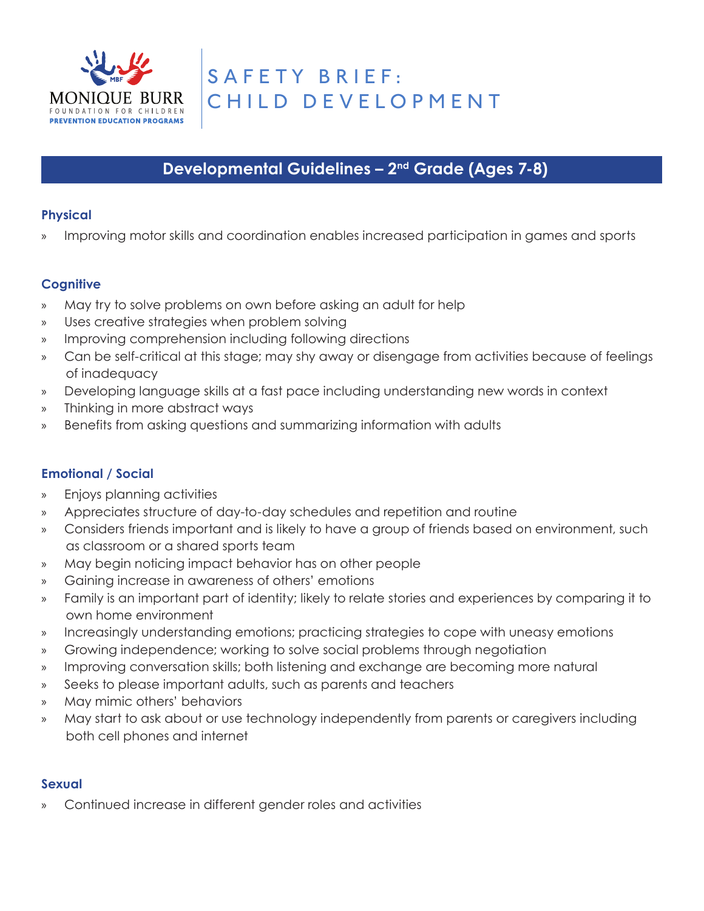

# **Developmental Guidelines – 2nd Grade (Ages 7-8)**

## **Physical**

» Improving motor skills and coordination enables increased participation in games and sports

## **Cognitive**

- » May try to solve problems on own before asking an adult for help
- » Uses creative strategies when problem solving
- » Improving comprehension including following directions
- » Can be self-critical at this stage; may shy away or disengage from activities because of feelings of inadequacy
- » Developing language skills at a fast pace including understanding new words in context
- » Thinking in more abstract ways
- » Benefits from asking questions and summarizing information with adults

#### **Emotional / Social**

- » Enjoys planning activities
- » Appreciates structure of day-to-day schedules and repetition and routine
- » Considers friends important and is likely to have a group of friends based on environment, such as classroom or a shared sports team
- » May begin noticing impact behavior has on other people
- » Gaining increase in awareness of others' emotions
- » Family is an important part of identity; likely to relate stories and experiences by comparing it to own home environment
- » Increasingly understanding emotions; practicing strategies to cope with uneasy emotions
- » Growing independence; working to solve social problems through negotiation
- » Improving conversation skills; both listening and exchange are becoming more natural
- » Seeks to please important adults, such as parents and teachers
- » May mimic others' behaviors
- » May start to ask about or use technology independently from parents or caregivers including both cell phones and internet

#### **Sexual**

» Continued increase in different gender roles and activities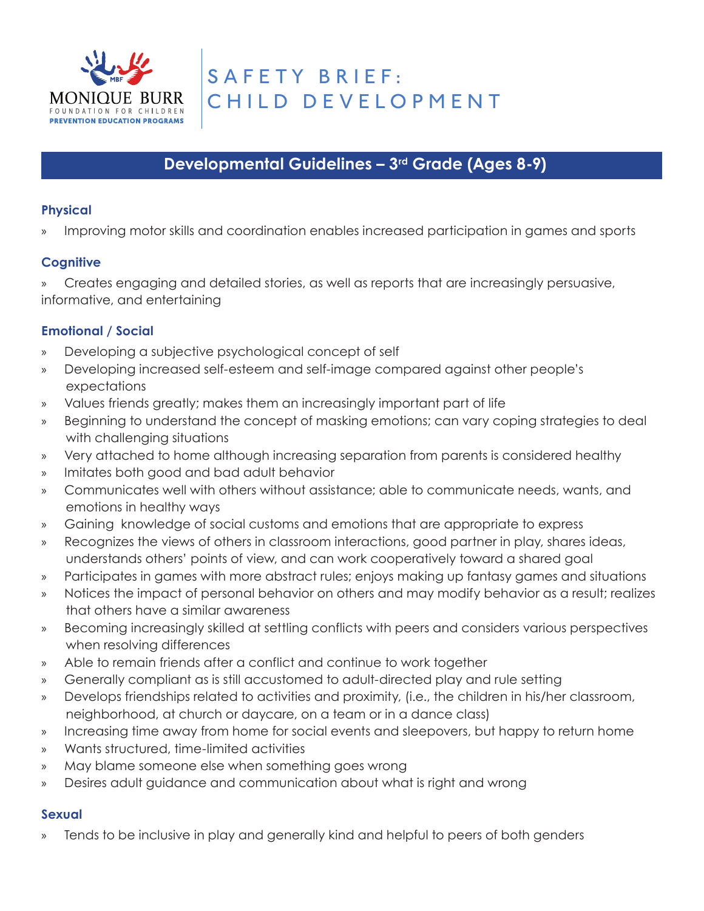

# **Developmental Guidelines – 3rd Grade (Ages 8-9)**

# **Physical**

Improving motor skills and coordination enables increased participation in games and sports

# **Cognitive**

» Creates engaging and detailed stories, as well as reports that are increasingly persuasive, informative, and entertaining

# **Emotional / Social**

- » Developing a subjective psychological concept of self
- » Developing increased self-esteem and self-image compared against other people's expectations
- » Values friends greatly; makes them an increasingly important part of life
- » Beginning to understand the concept of masking emotions; can vary coping strategies to deal with challenging situations
- » Very attached to home although increasing separation from parents is considered healthy
- » Imitates both good and bad adult behavior
- » Communicates well with others without assistance; able to communicate needs, wants, and emotions in healthy ways
- » Gaining knowledge of social customs and emotions that are appropriate to express
- » Recognizes the views of others in classroom interactions, good partner in play, shares ideas, understands others' points of view, and can work cooperatively toward a shared goal
- » Participates in games with more abstract rules; enjoys making up fantasy games and situations
- » Notices the impact of personal behavior on others and may modify behavior as a result; realizes that others have a similar awareness
- » Becoming increasingly skilled at settling conflicts with peers and considers various perspectives when resolving differences
- » Able to remain friends after a conflict and continue to work together
- » Generally compliant as is still accustomed to adult-directed play and rule setting
- » Develops friendships related to activities and proximity, (i.e., the children in his/her classroom, neighborhood, at church or daycare, on a team or in a dance class)
- » Increasing time away from home for social events and sleepovers, but happy to return home
- » Wants structured, time-limited activities
- » May blame someone else when something goes wrong
- » Desires adult guidance and communication about what is right and wrong

# **Sexual**

» Tends to be inclusive in play and generally kind and helpful to peers of both genders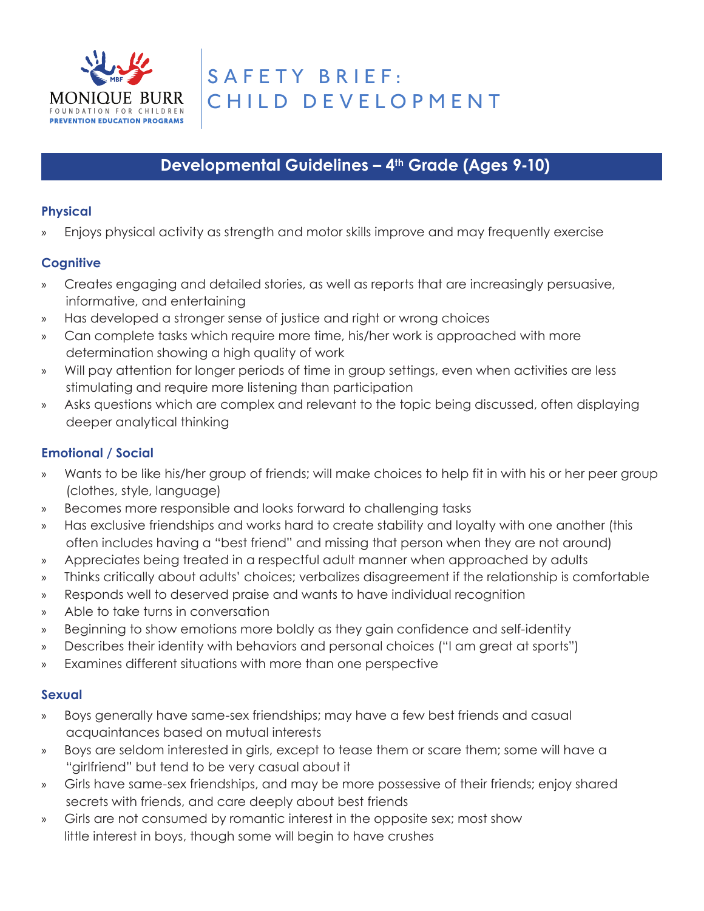

# **Developmental Guidelines - 4<sup>th</sup> Grade (Ages 9-10)**

# **Physical**

» Enjoys physical activity as strength and motor skills improve and may frequently exercise

# **Cognitive**

- » Creates engaging and detailed stories, as well as reports that are increasingly persuasive, informative, and entertaining
- » Has developed a stronger sense of justice and right or wrong choices
- » Can complete tasks which require more time, his/her work is approached with more determination showing a high quality of work
- » Will pay attention for longer periods of time in group settings, even when activities are less stimulating and require more listening than participation
- » Asks questions which are complex and relevant to the topic being discussed, often displaying deeper analytical thinking

# **Emotional / Social**

- » Wants to be like his/her group of friends; will make choices to help fit in with his or her peer group (clothes, style, language)
- » Becomes more responsible and looks forward to challenging tasks
- » Has exclusive friendships and works hard to create stability and loyalty with one another (this often includes having a "best friend" and missing that person when they are not around)
- » Appreciates being treated in a respectful adult manner when approached by adults
- » Thinks critically about adults' choices; verbalizes disagreement if the relationship is comfortable
- » Responds well to deserved praise and wants to have individual recognition
- » Able to take turns in conversation
- » Beginning to show emotions more boldly as they gain confidence and self-identity
- » Describes their identity with behaviors and personal choices ("I am great at sports")
- » Examines different situations with more than one perspective

- » Boys generally have same-sex friendships; may have a few best friends and casual acquaintances based on mutual interests
- » Boys are seldom interested in girls, except to tease them or scare them; some will have a "girlfriend" but tend to be very casual about it
- » Girls have same-sex friendships, and may be more possessive of their friends; enjoy shared secrets with friends, and care deeply about best friends
- » Girls are not consumed by romantic interest in the opposite sex; most show little interest in boys, though some will begin to have crushes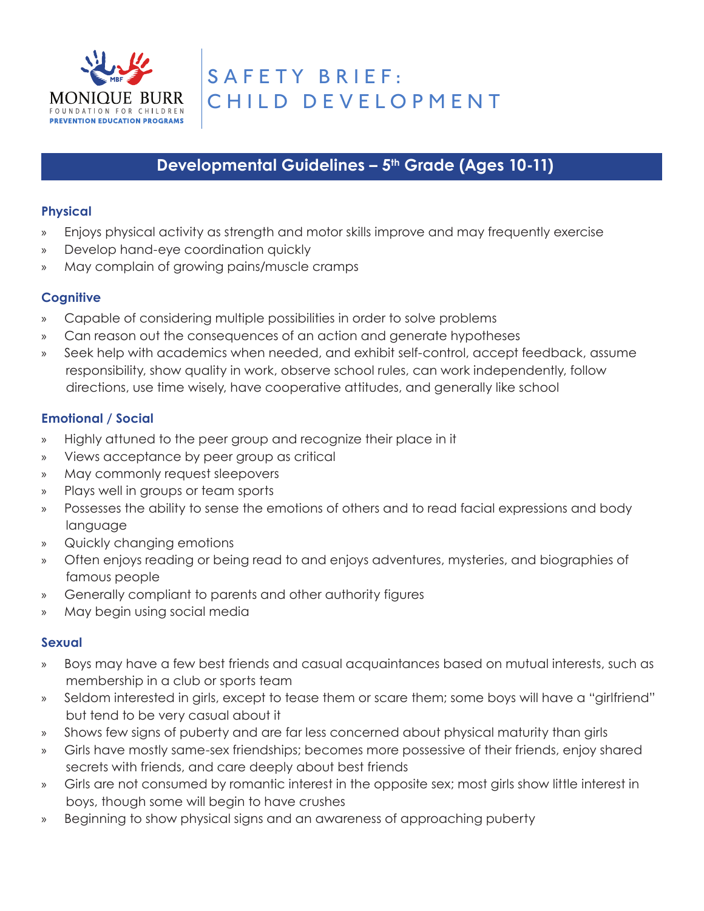

# Developmental Guidelines - 5<sup>th</sup> Grade (Ages 10-11)

## **Physical**

- » Enjoys physical activity as strength and motor skills improve and may frequently exercise
- » Develop hand-eye coordination quickly
- » May complain of growing pains/muscle cramps

# **Cognitive**

- » Capable of considering multiple possibilities in order to solve problems
- » Can reason out the consequences of an action and generate hypotheses
- » Seek help with academics when needed, and exhibit self-control, accept feedback, assume responsibility, show quality in work, observe school rules, can work independently, follow directions, use time wisely, have cooperative attitudes, and generally like school

# **Emotional / Social**

- » Highly attuned to the peer group and recognize their place in it
- » Views acceptance by peer group as critical
- » May commonly request sleepovers
- » Plays well in groups or team sports
- » Possesses the ability to sense the emotions of others and to read facial expressions and body language
- » Quickly changing emotions
- » Often enjoys reading or being read to and enjoys adventures, mysteries, and biographies of famous people
- » Generally compliant to parents and other authority figures
- » May begin using social media

- » Boys may have a few best friends and casual acquaintances based on mutual interests, such as membership in a club or sports team
- » Seldom interested in girls, except to tease them or scare them; some boys will have a "girlfriend" but tend to be very casual about it
- » Shows few signs of puberty and are far less concerned about physical maturity than girls
- » Girls have mostly same-sex friendships; becomes more possessive of their friends, enjoy shared secrets with friends, and care deeply about best friends
- » Girls are not consumed by romantic interest in the opposite sex; most girls show little interest in boys, though some will begin to have crushes
- » Beginning to show physical signs and an awareness of approaching puberty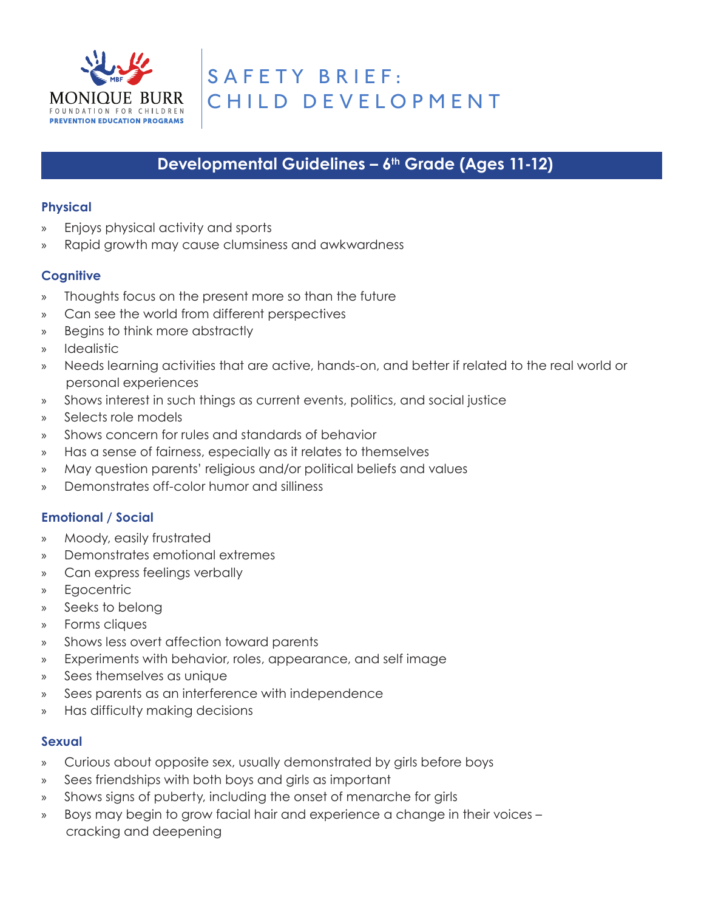

# **Developmental Guidelines - 6<sup>th</sup> Grade (Ages 11-12)**

## **Physical**

- » Enjoys physical activity and sports
- » Rapid growth may cause clumsiness and awkwardness

# **Cognitive**

- » Thoughts focus on the present more so than the future
- » Can see the world from different perspectives
- » Begins to think more abstractly
- » Idealistic
- » Needs learning activities that are active, hands-on, and better if related to the real world or personal experiences
- » Shows interest in such things as current events, politics, and social justice
- » Selects role models
- » Shows concern for rules and standards of behavior
- » Has a sense of fairness, especially as it relates to themselves
- » May question parents' religious and/or political beliefs and values
- » Demonstrates off-color humor and silliness

# **Emotional / Social**

- » Moody, easily frustrated
- » Demonstrates emotional extremes
- » Can express feelings verbally
- » Egocentric
- » Seeks to belong
- » Forms cliques
- » Shows less overt affection toward parents
- » Experiments with behavior, roles, appearance, and self image
- » Sees themselves as unique
- » Sees parents as an interference with independence
- » Has difficulty making decisions

- » Curious about opposite sex, usually demonstrated by girls before boys
- » Sees friendships with both boys and girls as important
- » Shows signs of puberty, including the onset of menarche for girls
- » Boys may begin to grow facial hair and experience a change in their voices cracking and deepening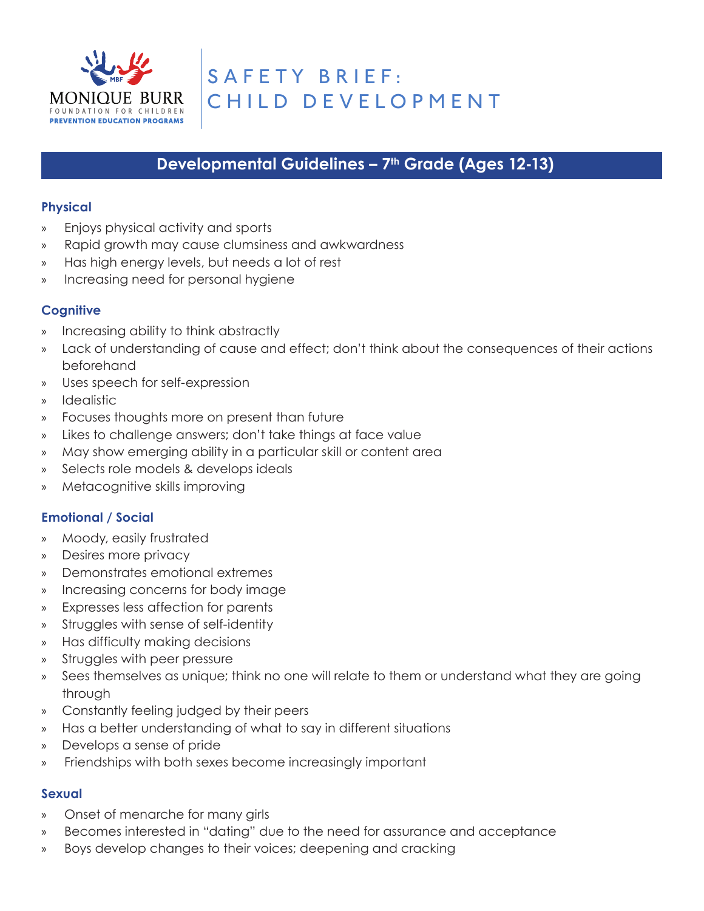

# **Developmental Guidelines – 7th Grade (Ages 12-13)**

## **Physical**

- » Enjoys physical activity and sports
- » Rapid growth may cause clumsiness and awkwardness
- » Has high energy levels, but needs a lot of rest
- » Increasing need for personal hygiene

# **Cognitive**

- » Increasing ability to think abstractly
- Lack of understanding of cause and effect; don't think about the consequences of their actions beforehand
- » Uses speech for self-expression
- » Idealistic
- » Focuses thoughts more on present than future
- » Likes to challenge answers; don't take things at face value
- » May show emerging ability in a particular skill or content area
- » Selects role models & develops ideals
- » Metacognitive skills improving

#### **Emotional / Social**

- » Moody, easily frustrated
- » Desires more privacy
- » Demonstrates emotional extremes
- » Increasing concerns for body image
- » Expresses less affection for parents
- » Struggles with sense of self-identity
- » Has difficulty making decisions
- » Struggles with peer pressure
- » Sees themselves as unique; think no one will relate to them or understand what they are going through
- » Constantly feeling judged by their peers
- » Has a better understanding of what to say in different situations
- » Develops a sense of pride
- » Friendships with both sexes become increasingly important

- » Onset of menarche for many girls
- » Becomes interested in "dating" due to the need for assurance and acceptance
- » Boys develop changes to their voices; deepening and cracking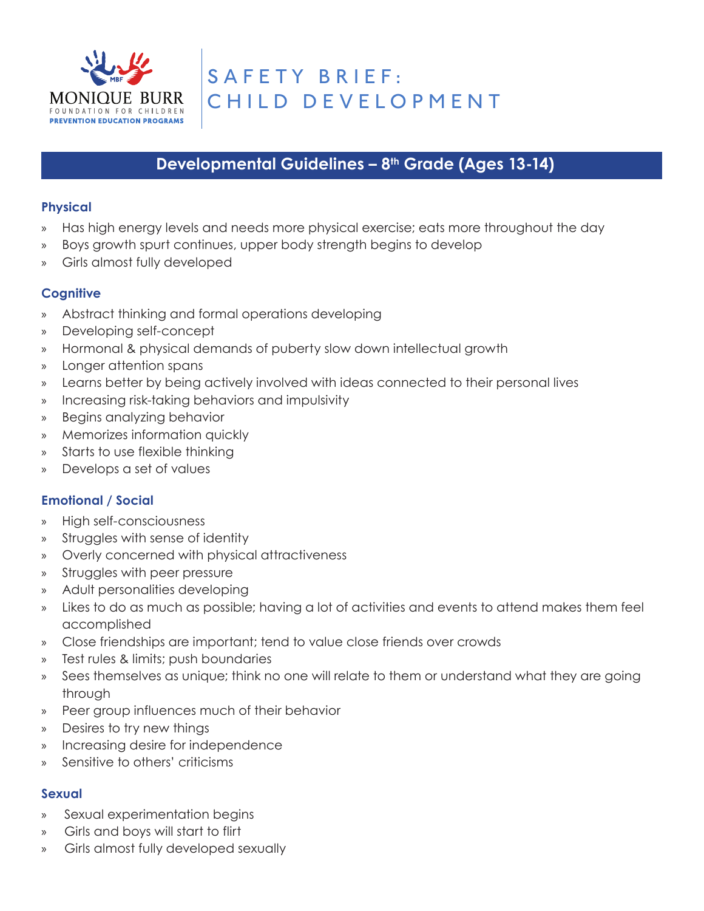

# **Developmental Guidelines – 8th Grade (Ages 13-14)**

### **Physical**

- » Has high energy levels and needs more physical exercise; eats more throughout the day
- Boys growth spurt continues, upper body strength begins to develop
- » Girls almost fully developed

# **Cognitive**

- » Abstract thinking and formal operations developing
- » Developing self-concept
- » Hormonal & physical demands of puberty slow down intellectual growth
- » Longer attention spans
- » Learns better by being actively involved with ideas connected to their personal lives
- » Increasing risk-taking behaviors and impulsivity
- » Begins analyzing behavior
- » Memorizes information quickly
- » Starts to use flexible thinking
- » Develops a set of values

# **Emotional / Social**

- » High self-consciousness
- » Struggles with sense of identity
- » Overly concerned with physical attractiveness
- » Struggles with peer pressure
- » Adult personalities developing
- » Likes to do as much as possible; having a lot of activities and events to attend makes them feel accomplished
- » Close friendships are important; tend to value close friends over crowds
- » Test rules & limits; push boundaries
- » Sees themselves as unique; think no one will relate to them or understand what they are going through
- » Peer group influences much of their behavior
- » Desires to try new things
- » Increasing desire for independence
- » Sensitive to others' criticisms

- » Sexual experimentation begins
- » Girls and boys will start to flirt
- » Girls almost fully developed sexually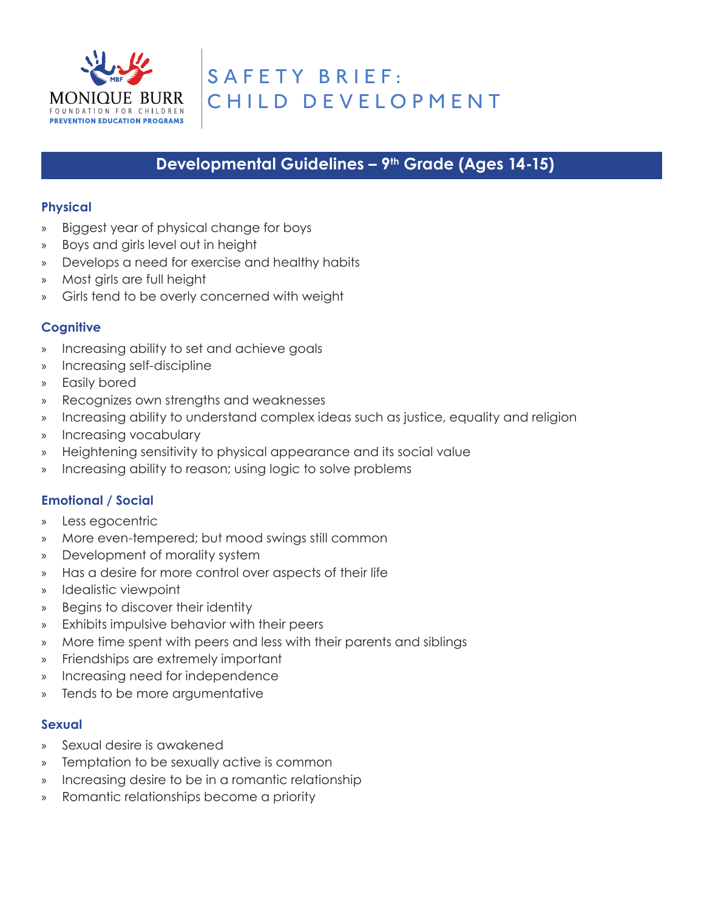

# **Developmental Guidelines – 9th Grade (Ages 14-15)**

#### **Physical**

- » Biggest year of physical change for boys
- » Boys and girls level out in height
- » Develops a need for exercise and healthy habits
- » Most girls are full height
- » Girls tend to be overly concerned with weight

## **Cognitive**

- » Increasing ability to set and achieve goals
- » Increasing self-discipline
- » Easily bored
- » Recognizes own strengths and weaknesses
- » Increasing ability to understand complex ideas such as justice, equality and religion
- » Increasing vocabulary
- » Heightening sensitivity to physical appearance and its social value
- » Increasing ability to reason; using logic to solve problems

# **Emotional / Social**

- » Less egocentric
- » More even-tempered; but mood swings still common
- » Development of morality system
- » Has a desire for more control over aspects of their life
- » Idealistic viewpoint
- » Begins to discover their identity
- » Exhibits impulsive behavior with their peers
- » More time spent with peers and less with their parents and siblings
- » Friendships are extremely important
- » Increasing need for independence
- » Tends to be more argumentative

- » Sexual desire is awakened
- » Temptation to be sexually active is common
- » Increasing desire to be in a romantic relationship
- » Romantic relationships become a priority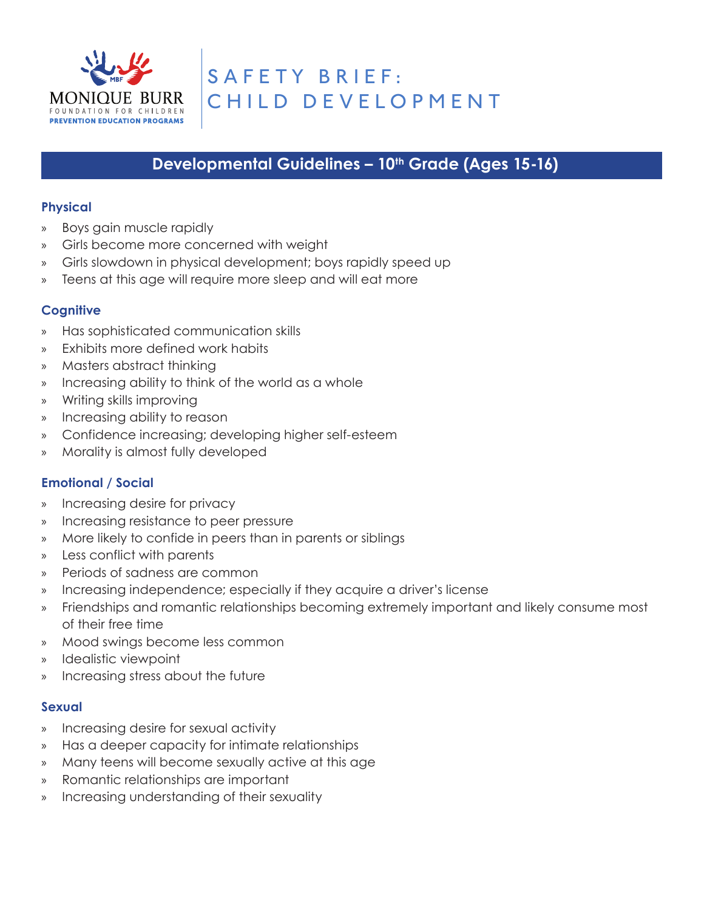

# Developmental Guidelines - 10<sup>th</sup> Grade (Ages 15-16)

### **Physical**

- » Boys gain muscle rapidly
- Girls become more concerned with weight
- » Girls slowdown in physical development; boys rapidly speed up
- » Teens at this age will require more sleep and will eat more

## **Cognitive**

- » Has sophisticated communication skills
- » Exhibits more defined work habits
- » Masters abstract thinking
- » Increasing ability to think of the world as a whole
- » Writing skills improving
- » Increasing ability to reason
- » Confidence increasing; developing higher self-esteem
- » Morality is almost fully developed

#### **Emotional / Social**

- » Increasing desire for privacy
- » Increasing resistance to peer pressure
- » More likely to confide in peers than in parents or siblings
- » Less conflict with parents
- » Periods of sadness are common
- » Increasing independence; especially if they acquire a driver's license
- » Friendships and romantic relationships becoming extremely important and likely consume most of their free time
- » Mood swings become less common
- » Idealistic viewpoint
- » Increasing stress about the future

- » Increasing desire for sexual activity
- » Has a deeper capacity for intimate relationships
- » Many teens will become sexually active at this age
- » Romantic relationships are important
- » Increasing understanding of their sexuality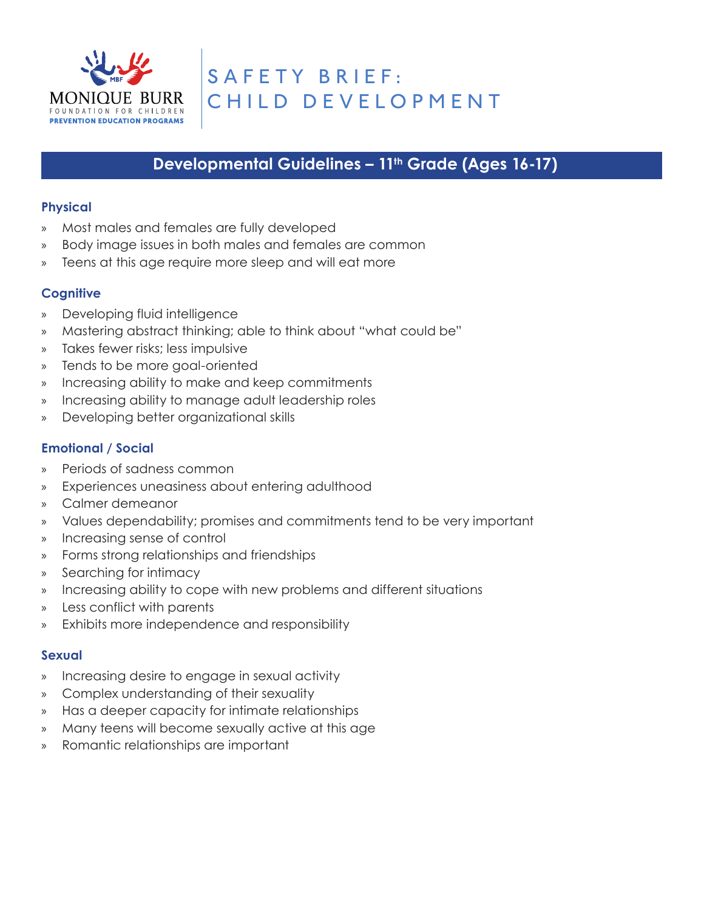

# Developmental Guidelines - 11<sup>th</sup> Grade (Ages 16-17)

## **Physical**

- » Most males and females are fully developed
- Body image issues in both males and females are common
- » Teens at this age require more sleep and will eat more

# **Cognitive**

- » Developing fluid intelligence
- » Mastering abstract thinking; able to think about "what could be"
- » Takes fewer risks; less impulsive
- » Tends to be more goal-oriented
- » Increasing ability to make and keep commitments
- » Increasing ability to manage adult leadership roles
- » Developing better organizational skills

# **Emotional / Social**

- » Periods of sadness common
- » Experiences uneasiness about entering adulthood
- » Calmer demeanor
- » Values dependability; promises and commitments tend to be very important
- » Increasing sense of control
- » Forms strong relationships and friendships
- » Searching for intimacy
- » Increasing ability to cope with new problems and different situations
- » Less conflict with parents
- » Exhibits more independence and responsibility

- » Increasing desire to engage in sexual activity
- » Complex understanding of their sexuality
- » Has a deeper capacity for intimate relationships
- » Many teens will become sexually active at this age
- » Romantic relationships are important